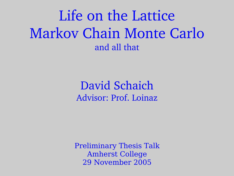Life on the Lattice Markov Chain Monte Carlo and all that

> David Schaich Advisor: Prof. Loinaz

Preliminary Thesis Talk Amherst College 29 November 2005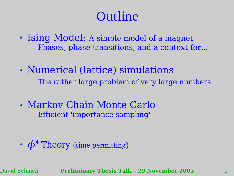# **Outline**

- Ising Model: A simple model of a magnet Phases, phase transitions, and a context for...
- Numerical (lattice) simulations The rather large problem of very large numbers
- Markov Chain Monte Carlo Efficient 'importance sampling'

•  $\phi^4$  Theory (time permitting)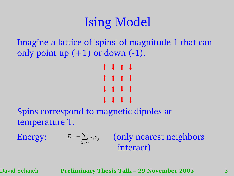# Ising Model

Imagine a lattice of 'spins' of magnitude 1 that can only point up  $(+1)$  or down  $(-1)$ .

$$
\begin{array}{cccccccc}\n1 & 1 & 1 & 1 \\
1 & 1 & 1 & 1 \\
1 & 1 & 1 & 1 \\
1 & 1 & 1 & 1\n\end{array}
$$

Spins correspond to magnetic dipoles at temperature T.

Energy:  $E=-\sum_{i} s_i s_j$  (only nearest neighbors interact)  $\langle i,j \rangle$  $S_i S_j$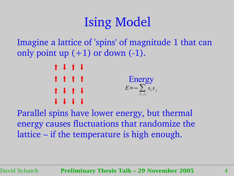# Ising Model

Imagine a lattice of 'spins' of magnitude 1 that can only point up  $(+1)$  or down  $(-1)$ .

> $1111$ t t t t Energy  $1111$  $1111$ *<sup>E</sup>*=−∑  $\langle i,j \rangle$  $S_i S_j$

Parallel spins have lower energy, but thermal energy causes fluctuations that randomize the lattice – if the temperature is high enough.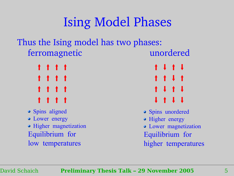# Ising Model Phases

### Thus the Ising model has two phases: ferromagnetic unordered

- 
- Spins aligned
- Lower energy
- Higher magnetization Equilibrium for low temperatures

 $\uparrow$   $\uparrow$   $\uparrow$   $\uparrow$   $\uparrow$   $\uparrow$   $\downarrow$   $\uparrow$   $\downarrow$  $\uparrow$   $\uparrow$   $\uparrow$   $\uparrow$   $\uparrow$   $\uparrow$   $\uparrow$   $\uparrow$   $\uparrow$   $\uparrow$   $\uparrow$   $\uparrow$   $\uparrow$   $\uparrow$   $\uparrow$   $\uparrow$   $\uparrow$   $\uparrow$   $\uparrow$   $\uparrow$   $\uparrow$   $\uparrow$   $\uparrow$   $\uparrow$   $\uparrow$   $\uparrow$   $\uparrow$   $\uparrow$   $\uparrow$   $\uparrow$   $\uparrow$   $\uparrow$   $\uparrow$   $\uparrow$   $\uparrow$   $\uparrow$   $\uparrow$  $\uparrow$   $\uparrow$   $\uparrow$   $\uparrow$   $\uparrow$   $\uparrow$   $\uparrow$   $\uparrow$   $\uparrow$   $\uparrow$   $\uparrow$ 

- **•** Spins unordered
- Higher energy
- Lower magnetization Equilibrium for higher temperatures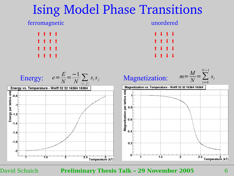### Ising Model Phase Transitions

#### ferromagnetic unordered



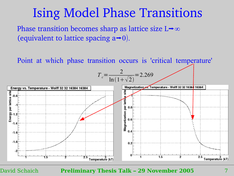### Ising Model Phase Transitions

Phase transition becomes sharp as lattice size  $L \rightarrow \infty$ (equivalent to lattice spacing  $a\rightarrow 0$ ).

Point at which phase transition occurs is 'critical temperature'

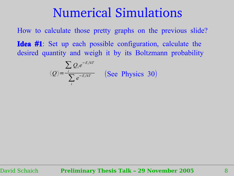How to calculate those pretty graphs on the previous slide? **Idea** #**1**: Set up each possible configuration, calculate the desired quantity and weigh it by its Boltzmann probability

$$
\langle Q \rangle = \frac{\sum_{i} Q_i e^{-E_i/kT}}{\sum_{i} e^{-E_i/kT}}
$$
 (See Physics 30)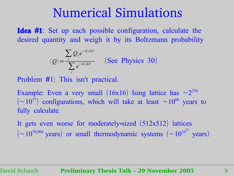**Idea** #**1**: Set up each possible configuration, calculate the desired quantity and weigh it by its Boltzmann probability

> $\langle Q \rangle = \frac{i}{\sqrt{2}}$  $\sum Q_i e^{-E_i/kT}$  $\sum e^{-E_i/kT}$  (See Physics 30) *i*

Problem #1: This isn't practical.

Example: Even a very small (16x16) Ising lattice has  $\sim 2^{256}$  $(\sim 10^{77})$  configurations, which will take at least  $\sim 10^{60}$  years to fully calculate.

It gets even worse for moderately-sized (512x512) lattices  $(\sim 10^{78,900} \text{ years})$  or small thermodynamic systems  $(\sim 10^{10^{23}} \text{ years})$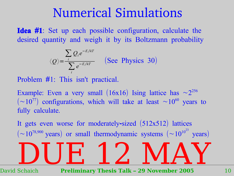**Idea** #**1**: Set up each possible configuration, calculate the desired quantity and weigh it by its Boltzmann probability

> $\langle \mathcal{Q} \rangle$ =  $\sum$ *i*  $Q_i e^{-E_i/kT}$  $\sum e^{-E_i/kT}$  (See Physics 30) *i*

Problem #1: This isn't practical.

Example: Even a very small (16x16) Ising lattice has  $\sim 2^{256}$  $(\sim 10^{77})$  configurations, which will take at least  $\sim 10^{60}$  years to fully calculate.

It gets even worse for moderately-sized (512x512) lattices  $(\sim 10^{78,900} \text{ years})$  or small thermodynamic systems  $(\sim 10^{10^{23}} \text{ years})$ DUE 12 MAY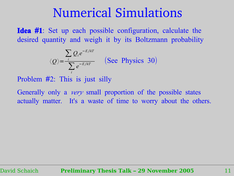**Idea** #**1**: Set up each possible configuration, calculate the desired quantity and weigh it by its Boltzmann probability

$$
\langle Q \rangle = \frac{\sum_{i} Q_{i} e^{-E_{i}/kT}}{\sum_{i} e^{-E_{i}/kT}}
$$
 (See Physics 30)

Problem #2: This is just silly

Generally only a *very* small proportion of the possible states actually matter. It's a waste of time to worry about the others.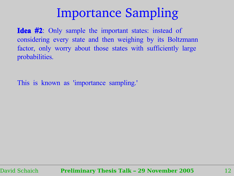### Importance Sampling

**Idea** #**2**: Only sample the important states: instead of considering every state and then weighing by its Boltzmann factor, only worry about those states with sufficiently large probabilities.

This is known as 'importance sampling.'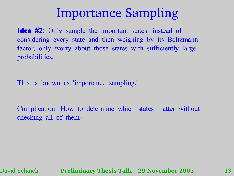### Importance Sampling

**Idea** #**2**: Only sample the important states: instead of considering every state and then weighing by its Boltzmann factor, only worry about those states with sufficiently large probabilities.

This is known as 'importance sampling.'

Complication: How to determine which states matter without checking all of them?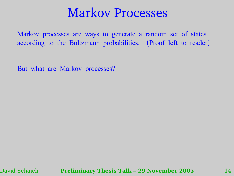### Markov Processes

Markov processes are ways to generate a random set of states according to the Boltzmann probabilities. (Proof left to reader)

But what are Markov processes?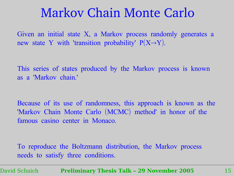Given an initial state X, a Markov process randomly generates a new state Y with 'transition probability'  $P(X \rightarrow Y)$ .

This series of states produced by the Markov process is known as a 'Markov chain.'

Because of its use of randomness, this approach is known as the 'Markov Chain Monte Carlo (MCMC) method' in honor of the famous casino center in Monaco.

To reproduce the Boltzmann distribution, the Markov process needs to satisfy three conditions.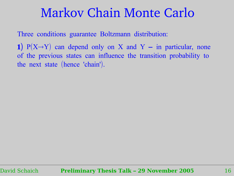Three conditions guarantee Boltzmann distribution:

**1**)  $P(X \rightarrow Y)$  can depend only on X and Y – in particular, none of the previous states can influence the transition probability to the next state (hence 'chain').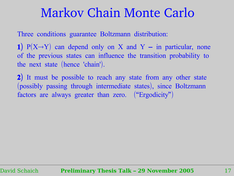Three conditions guarantee Boltzmann distribution:

**1**)  $P(X \rightarrow Y)$  can depend only on X and Y – in particular, none of the previous states can influence the transition probability to the next state (hence 'chain').

**2**) It must be possible to reach any state from any other state (possibly passing through intermediate states), since Boltzmann factors are always greater than zero. ("Ergodicity")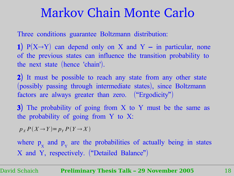Three conditions guarantee Boltzmann distribution:

**1**)  $P(X \rightarrow Y)$  can depend only on X and Y – in particular, none of the previous states can influence the transition probability to the next state (hence 'chain').

**2**) It must be possible to reach any state from any other state (possibly passing through intermediate states), since Boltzmann factors are always greater than zero. ("Ergodicity")

**3**) The probability of going from X to Y must be the same as the probability of going from Y to X:

 $p_Y P(X \to Y) = p_Y P(Y \to X)$ 

where p X and p Y are the probabilities of actually being in states X and Y, respectively. ("Detailed Balance")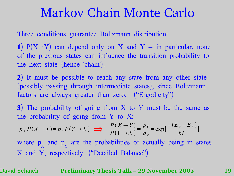Three conditions guarantee Boltzmann distribution:

**1**)  $P(X \rightarrow Y)$  can depend only on X and Y – in particular, none of the previous states can influence the transition probability to the next state (hence 'chain').

**2**) It must be possible to reach any state from any other state (possibly passing through intermediate states), since Boltzmann factors are always greater than zero. ("Ergodicity")

**3**) The probability of going from X to Y must be the same as the probability of going from Y to X:

$$
p_X P(X \to Y) = p_Y P(Y \to X) \implies \frac{P(X \to Y)}{P(Y \to X)} = \frac{p_Y}{p_X} = \exp\left[\frac{-(E_Y - E_X)}{kT}\right]
$$

where p X and p Y are the probabilities of actually being in states X and Y, respectively. ("Detailed Balance")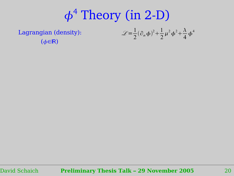# $\phi^4$  Theory (in 2-D)

Lagrangian (density):  $(\phi \in \mathbb{R})$ 

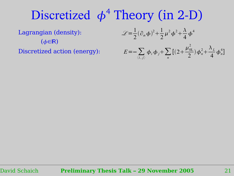# Discretized  $\phi^4$  Theory (in 2-D)

Lagrangian (density):

 $(*φ*∈**R**)$ Discretized action (energy):

$$
\mathcal{L} = \frac{1}{2} (\partial_{\alpha} \phi)^{2} + \frac{1}{2} \mu^{2} \phi^{2} + \frac{\lambda}{4} \phi^{4}
$$
  

$$
E = -\sum_{\langle i,j \rangle} \phi_{i} \phi_{j} + \sum_{n} [(2 + \frac{\mu_{0L}^{2}}{2}) \phi_{n}^{2} + \frac{\lambda_{L}}{4} \phi_{n}^{4}]
$$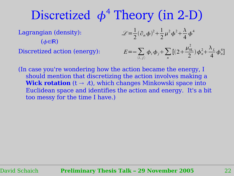# Discretized  $\phi^4$  Theory (in 2-D)

Lagrangian (density):

 $(*φ*∈**R**)$ Discretized action (energy):

$$
\mathcal{L} = \frac{1}{2} (\partial_{\alpha} \phi)^2 + \frac{1}{2} \mu^2 \phi^2 + \frac{\lambda}{4} \phi^4
$$
  

$$
E = -\sum_{\langle i,j \rangle} \phi_i \phi_j + \sum_n \left[ (2 + \frac{\mu_{0L}^2}{2}) \phi_n^2 + \frac{\lambda_L}{4} \phi_n^4 \right]
$$

*n*

(In case you're wondering how the action became the energy, I should mention that discretizing the action involves making a **Wick rotation**  $(t \rightarrow \lambda t)$ , which changes Minkowski space into Euclidean space and identifies the action and energy. It's a bit too messy for the time I have.)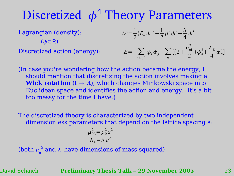# Discretized  $\phi^4$  Theory Parameters

Lagrangian (density):  $(*φ*∈**R**)$ 

Discretized action (energy):

$$
\mathcal{L} = \frac{1}{2} (\partial_{\alpha} \phi)^2 + \frac{1}{2} \mu^2 \phi^2 + \frac{\lambda}{4} \phi^4
$$

$$
E = -\sum_{\langle i,j\rangle} \phi_i \phi_j + \sum_n \left[ \left( 2 + \frac{\mu_{0L}^2}{2} \right) \phi_n^2 + \frac{\lambda_L}{4} \phi_n^4 \right]
$$

(In case you're wondering how the action became the energy, I should mention that discretizing the action involves making a **Wick rotation**  $(t \rightarrow \lambda t)$ , which changes Minkowski space into Euclidean space and identifies the action and energy. It's a bit too messy for the time I have.)

The discretized theory is characterized by two independent dimensionless parameters that depend on the lattice spacing a:

$$
\mu_{0L}^2 = \mu_0^2 a^2
$$
  

$$
\lambda_L = \lambda a^2
$$

(both  $\mu_0^2$  and  $\lambda$  have dimensions of mass squared)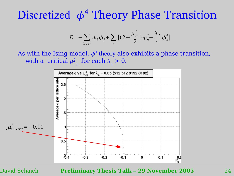## Discretized  $\phi^4$  Theory Phase Transition

$$
E = -\sum_{\langle i,j\rangle} \phi_i \phi_j + \sum_n \left[ \left( 2 + \frac{\mu_{0L}^2}{2} \right) \phi_n^2 + \frac{\lambda_L}{4} \phi_n^4 \right]
$$

As with the Ising model,  $\phi^4$  theory also exhibits a phase transition, with a critical  $\mu_{0L}^2$  for each  $\lambda_{L} > 0$ .

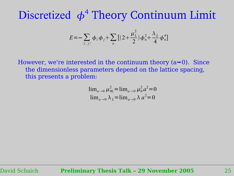$$
E = -\sum_{\langle i,j\rangle} \phi_i \phi_j + \sum_n \left[ \left(2 + \frac{\mu_L^2}{2}\right) \phi_n^2 + \frac{\lambda_L}{4} \phi_n^4 \right]
$$

However, we're interested in the continuum theory  $(a\rightarrow 0)$ . Since the dimensionless parameters depend on the lattice spacing, this presents a problem:

$$
\lim_{a \to 0} \mu_{0L}^2 = \lim_{a \to 0} \mu_0^2 a^2 = 0
$$
  

$$
\lim_{a \to 0} \lambda_L = \lim_{a \to 0} \lambda a^2 = 0
$$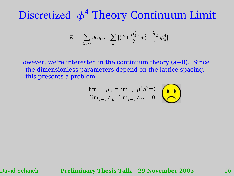$$
E = -\sum_{\langle i,j\rangle} \phi_i \phi_j + \sum_n \left[ \left(2 + \frac{\mu_L^2}{2}\right) \phi_n^2 + \frac{\lambda_L}{4} \phi_n^4 \right]
$$

However, we're interested in the continuum theory  $(a\rightarrow 0)$ . Since the dimensionless parameters depend on the lattice spacing, this presents a problem:

$$
\lim_{a\to 0} \mu_{0L}^2 = \lim_{a\to 0} \mu_0^2 a^2 = 0
$$
  

$$
\lim_{a\to 0} \lambda_L = \lim_{a\to 0} \lambda a^2 = 0
$$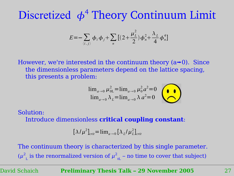$$
E = -\sum_{\langle i,j\rangle} \phi_i \phi_j + \sum_n \left[ \left(2 + \frac{\mu_L^2}{2}\right) \phi_n^2 + \frac{\lambda_L}{4} \phi_n^4 \right]
$$

However, we're interested in the continuum theory  $(a\rightarrow 0)$ . Since the dimensionless parameters depend on the lattice spacing, this presents a problem:

$$
\lim_{a\to 0} \mu_{0L}^2 = \lim_{a\to 0} \mu_0^2 a^2 = 0
$$
  

$$
\lim_{a\to 0} \lambda_L = \lim_{a\to 0} \lambda a^2 = 0
$$

Solution:

Introduce dimensionless **critical coupling constant**:

$$
[\lambda/\mu^2]_{\text{crit}} = \lim_{a \to 0} [\lambda_L/\mu_L^2]_{\text{crit}}
$$

The continuum theory is characterized by this single parameter.  $(\mu^2)$  $_{\textrm{\tiny{L}}}$  is the renormalized version of  $\mu^2$  $_{\scriptscriptstyle{0L}}$  – no time to cover that subject)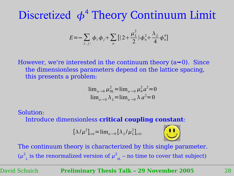$$
E = -\sum_{\langle i,j\rangle} \phi_i \phi_j + \sum_n \left[ \left(2 + \frac{\mu_L^2}{2}\right) \phi_n^2 + \frac{\lambda_L}{4} \phi_n^4 \right]
$$

However, we're interested in the continuum theory  $(a\rightarrow 0)$ . Since the dimensionless parameters depend on the lattice spacing, this presents a problem:

$$
\lim_{a \to 0} \mu_{0L}^2 = \lim_{a \to 0} \mu_0^2 a^2 = 0
$$
  

$$
\lim_{a \to 0} \lambda_L = \lim_{a \to 0} \lambda a^2 = 0
$$

Solution:

Introduce dimensionless **critical coupling constant**:

$$
[\lambda/\mu^2]_{\text{crit}} = \lim_{a \to 0} [\lambda_L/\mu_L^2]_{\text{crit}}
$$



The continuum theory is characterized by this single parameter.  $(\mu^2)$  $_{\textrm{\tiny{L}}}$  is the renormalized version of  $\mu^2$  $_{\scriptscriptstyle{0L}}$  – no time to cover that subject)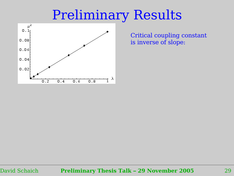# Preliminary Results



Critical coupling constant is inverse of slope: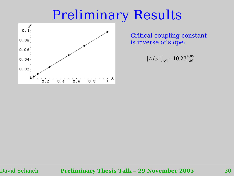# Preliminary Results



Critical coupling constant is inverse of slope:

$$
[\lambda/\mu^2]_{\text{crit}} = 10.27^{+.06}_{-.05}
$$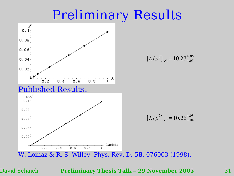## Preliminary Results

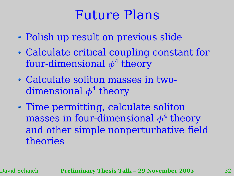# Future Plans

- Polish up result on previous slide
- Calculate critical coupling constant for four-dimensional  $\phi^4$  theory
- Calculate soliton masses in twodimensional  $\phi^4$  theory
- Time permitting, calculate soliton masses in four-dimensional  $\phi^4$  theory and other simple nonperturbative field theories